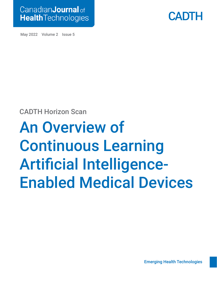





## CADTH Horizon Scan

# An Overview of Continuous Learning Artificial Intelligence-Enabled Medical Devices

[Emerging Health Technologies](#page-4-0)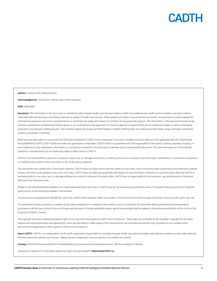

Authors: Andrea Smith, Melissa Severn

Acknowledgement: Joanne Kim, Renata Axler, Kristen Moulton

#### ISSN: 2563-6596

Disclaimer: The information in this document is intended to help Canadian health care decision-makers, health care professionals, health systems leaders, and policy-makers make well-informed decisions and thereby improve the quality of health care services. While patients and others may access this document, the document is made available for informational purposes only and no representations or warranties are made with respect to its fitness for any particular purpose. The information in this document should not be used as a substitute for professional medical advice or as a substitute for the application of clinical judgment in respect of the care of a particular patient or other professional judgment in any decision-making process. The Canadian Agency for Drugs and Technologies in Health (CADTH) does not endorse any information, drugs, therapies, treatments, products, processes, or services.

While care has been taken to ensure that the information prepared by CADTH in this document is accurate, complete, and up to date as at the applicable date the material was first published by CADTH, CADTH does not make any guarantees to that effect. CADTH does not guarantee and is not responsible for the quality, currency, propriety, accuracy, or reasonableness of any statements, information, or conclusions contained in any third-party materials used in preparing this document. The views and opinions of third parties published in this document do not necessarily state or reflect those of CADTH.

CADTH is not responsible for any errors, omissions, injury, loss, or damage arising from or relating to the use (or misuse) of any information, statements, or conclusions contained in or implied by the contents of this document or any of the source materials.

This document may contain links to third-party websites. CADTH does not have control over the content of such sites. Use of third-party sites is governed by the third-party website owners' own terms and conditions set out for such sites. CADTH does not make any guarantee with respect to any information contained on such third-party sites and CADTH is not responsible for any injury, loss, or damage suffered as a result of using such third-party sites. CADTH has no responsibility for the collection, use, and disclosure of personal information by third-party sites.

Subject to the aforementioned limitations, the views expressed herein are those of CADTH and do not necessarily represent the views of Canada's federal, provincial, or territorial governments or any third-party supplier of information.

This document is prepared and intended for use in the context of the Canadian health care system. The use of this document outside of Canada is done so at the user's own risk.

This disclaimer and any questions or matters of any nature arising from or relating to the content or use (or misuse) of this document will be governed by and interpreted in accordance with the laws of the Province of Ontario and the laws of Canada applicable therein, and all proceedings shall be subject to the exclusive jurisdiction of the courts of the Province of Ontario, Canada.

The copyright and other intellectual property rights in this document are owned by CADTH and its licensors. These rights are protected by the Canadian *Copyright Act* and other national and international laws and agreements. Users are permitted to make copies of this document for non-commercial purposes only, provided it is not modified when reproduced and appropriate credit is given to CADTH and its licensors.

About CADTH: CADTH is an independent, not-for-profit organization responsible for providing Canada's health care decision-makers with objective evidence to help make informed decisions about the optimal use of drugs, medical devices, diagnostics, and procedures in our health care system.

Funding: CADTH receives funding from Canada's federal, provincial, and territorial governments, with the exception of Quebec.

Questions or requests for information about this report can be directed to Requests@CADTH.ca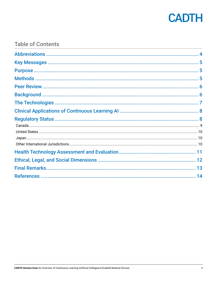

## **Table of Contents**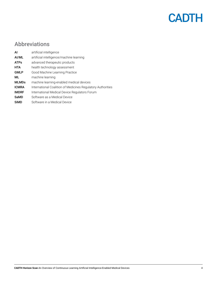

## <span id="page-3-0"></span>Abbreviations

| ΑI           | artificial intelligence                                     |
|--------------|-------------------------------------------------------------|
| AI/ML        | artificial intelligence/machine learning                    |
| <b>ATPs</b>  | advanced therapeutic products                               |
| <b>HTA</b>   | health technology assessment                                |
| <b>GMLP</b>  | Good Machine Learning Practice                              |
| ML           | machine learning                                            |
| <b>MLMDs</b> | machine learning-enabled medical devices                    |
| <b>ICMRA</b> | International Coalition of Medicines Regulatory Authorities |
| <b>IMDRF</b> | International Medical Device Regulators Forum               |
| <b>SaMD</b>  | Software as a Medical Device                                |
| <b>SiMD</b>  | Software in a Medical Device                                |
|              |                                                             |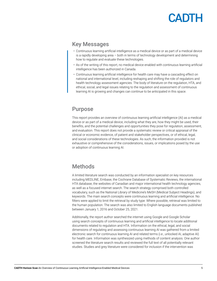## PADIE

### <span id="page-4-0"></span>Key Messages

- Continuous learning artificial intelligence as a medical device or as part of a medical device is a rapidly developing area – both in terms of technology development and determining how to regulate and evaluate these technologies.
- As of the writing of this report, no medical device enabled with continuous learning artificial intelligence has been authorized in Canada.
- Continuous learning artificial intelligence for health care may have a cascading effect on national and international level, including reshaping and shifting the role of regulators and health technology assessment agencies. The body of literature on the regulation, HTA, and ethical, social, and legal issues relating to the regulation and assessment of continuous learning AI is growing and changes can continue to be anticipated in this space.

### Purpose

This report provides an overview of continuous learning artificial intelligence (AI) as a medical device or as part of a medical device, including what they are, how they might be used, their benefits, and the potential challenges and opportunities they pose for regulation, assessment, and evaluation. This report does not provide a systematic review or critical appraisal of the clinical or economic evidence, of patient and stakeholder perspectives, or of ethical, legal, and social considerations of these technologies. As such, the information provided is not exhaustive or comprehensive of the considerations, issues, or implications posed by the use or adoption of continuous learning AI.

## **Methods**

A limited literature search was conducted by an information specialist on key resources including MEDLINE, Embase, the Cochrane Database of Systematic Reviews, the international HTA database, the websites of Canadian and major international health technology agencies, as well as a focused internet search. The search strategy comprised both controlled vocabulary, such as the National Library of Medicine's MeSH (Medical Subject Headings), and keywords. The main search concepts were continuous learning and artificial intelligence. No filters were applied to limit the retrieval by study type. Where possible, retrieval was limited to the human population. The search was also limited to English language documents published between January 1, 2016 and October 25, 2021.

Additionally, the report author searched the internet using Google and Google Scholar using search concepts of continuous learning and artificial intelligence to locate additional documents related to regulation and HTA. Information on the ethical, legal, and social dimensions of regulating and assessing continuous learning AI was gathered from a limited electronic search for continuous learning AI and related terms (i.e., unlocked AI, adaptive AI) for health care. Information was synthesized using methods of content analysis. One author screened the literature search results and reviewed the full text of all potentially relevant studies. Studies and grey literature were considered for inclusion if the intervention was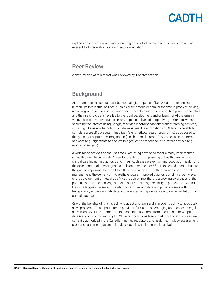

<span id="page-5-0"></span>explicitly described as continuous learning artificial intelligence or machine learning and relevant to its regulation, assessment, or evaluation.

### Peer Review

A draft version of this report was reviewed by [1](#page-13-1) content expert.

### **Background**

AI is a broad term used to describe technologies capable of behaviour that resembles human-like intellectual abilities, such as autonomous or semi-autonomous problem-solving, reasoning, recognition, and language use.<sup>1</sup> Recent advances in computing power, connectivity, and the rise of big data have led to the rapid development and diffusion of AI systems in various sectors. AI now touches many aspects of lives of people living in Canada, when searching the internet using Google, receiving recommendations from streaming services, or paying bills using chatbots.<sup>2</sup> To date, most real-life applications of AI tend to be able to complete a specific predetermined task (e.g., chatbots, search algorithms) as opposed to the types that capture the imagination (e.g., human-like robots). AI can exist in the form of software (e.g., algorithms to analyze images) or be embedded in hardware devices (e.g., robots for surgery).

A wide range of types of and uses for AI are being developed for or already implemented in health care. These include AI used in the design and planning of health care services; clinical care including diagnosis and imaging, disease prevention and population health; and the development of new diagnostic tools and therapeutics.<sup>[3,](#page-13-3)[4](#page-13-4)</sup> AI is expected to contribute to the goal of improving the overall health of populations – whether through improved selfmanagement, the delivery of more efficient care, improved diagnosis or clinical pathways, or the development of new drugs.<sup>3[,4](#page-13-4)</sup> At the same time, there is a growing awareness of the potential harms and challenges of AI in health, including the ability to perpetuate systemic bias, challenges in assessing safety, concerns around data and privacy, issues with transparency and accountability, and challenges with governance and implementation into clinical practice.<sup>[5](#page-13-5)</sup>

One of the benefits of AI is its ability to adapt and learn and improve its ability to accurately solve problems. This report aims to provide information on emerging approaches to regulate, assess, and evaluate a form of AI that continuously learns from or adapts to new input data (i.e., continuous learning AI). While no continuous learning AI for clinical purposes are currently authorized in the Canadian market, regulatory and health technology assessment processes and methods are being developed in anticipation of its arrival.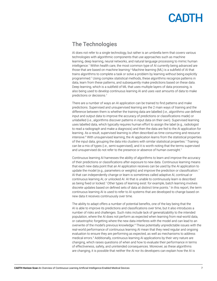## <span id="page-6-0"></span>The Technologies

AI does not refer to a single technology, but rather is an umbrella term that covers various technologies with algorithmic components that use approaches such as machine learning, deep learning, neural networks, and natural language processing to mimic human intelligence[.1](#page-13-1) Within health care, the most common type of AI currently being advanced are those that are based on machine learning.<sup>6</sup> Machine learning (ML) is a subfield of AI that trains algorithms to complete a task or solve a problem by learning without being explicitly programmed.[7](#page-13-7) Using complex statistical methods, these algorithms recognize patterns in data, learn from these patterns, and subsequently make predictions based on these data. Deep learning, which is a subfield of ML that uses multiple layers of data processing, is also being used to develop continuous learning AI and uses vast amounts of data to make predictions or decisions.<sup>7</sup>

There are a number of ways an AI application can be trained to find patterns and make predictions. Supervised and unsupervised learning are the 2 main ways of training and the difference between them is whether the training data are labelled (i.e., algorithms use defined input and output data to improve the accuracy of predictions or classifications made) or unlabelled (i.e., algorithms discover patterns in input data on their own). Supervised learning uses labelled data, which typically requires human effort to assign the label (e.g., radiologist to read a radiograph and make a diagnosis) and then the data are fed to the AI application for learning. As a result, supervised learning is often described as time consuming and resource intensive.<sup>[8](#page-13-8)</sup> With unsupervised learning, the AI application learns from the statistical properties of the input data, grouping the data into clusters with similar statistical properties.<sup>[7](#page-13-7)</sup> Training can be a mix of types (i.e., semi-supervised), and it is worth noting that the terms supervised and unsupervised do not refer to the presence or absence of human oversight.<sup>7</sup>

Continuous learning AI harnesses the ability of algorithms to learn and improve the accuracy of their predictions or classifications after exposure to new data. Continuous learning means that each new data point that an AI application receives can be used by the AI application to update the model (e.g., parameters or weights) and improve the prediction or classification.<sup>[7](#page-13-7)</sup> AI that can independently change or learn is sometimes called adaptive AI, continual or continuous learning AI, or unlocked AI. AI that is unable to continuously learn is described as being fixed or locked.<sup>[7](#page-13-7)</sup> Other types of learning exist: for example, batch learning involves discrete updates based on defined sets of data at distinct time points.[7](#page-13-7) In this report, the term continuous learning AI is used to refer to AI systems that are developed to change based on new data it receives continuously over time.

The ability to adapt offers a number of potential benefits, one of the key being that the AI is able to improve its predictions and classifications over time, but it also introduces a number of risks and challenges. Such risks include lack of generalizability to the intended population, where the AI does not perform as expected when learning from real-world data, or catastrophic forgetting where the new data interferes with the model and can lead to an overwrite of the model's previous knowledge.<sup>[8](#page-13-8)</sup> These potentially unpredictable issues with the real-world performance of continuous learning AI mean that they need regular and ongoing evaluation to ensure they are performing as expected, as well as mechanisms to address medical errors.<sup>9</sup> Additionally, continuous learning AI applications by their very nature are changing, which raises questions of when and how to evaluate their performance in terms of effectiveness, safety, and unintended consequences. Moreover, as these algorithms are changing, it is possible that neither the AI nor its developers can explain how the AI is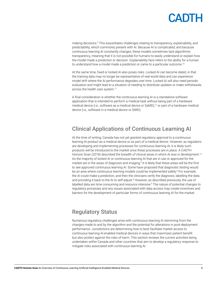<span id="page-7-0"></span>making decisions.<sup>[9](#page-13-9)</sup> This exacerbates challenges relating to transparency, explainability, and predictability, which commonly present with AI. Because AI is complicated, and because continuous learning AI constantly changes, these models sometimes lack algorithmic transparency, meaning that it is not possible for humans to easily understand or explain how the model made a prediction or decision. Explainability here refers to the ability for a human to understand how a model made a prediction or came to a particular outcome.<sup>[10](#page-13-10)</sup>

At the same time, fixed or locked AI also poses risks. Locked AI can become dated, in that the training data may no longer be representative of real-world data and can experience model drift where the AI performance degrades over time. Locked AI will also need periodic evaluation and might lead to a situation of needing to distribute updates or make withdrawals across the health care system.[11](#page-13-11)

A final consideration is whether the continuous learning AI is a standalone software application that is intended to perform a medical task without being part of a hardware medical device (i.e., software as a medical device or SaMD),<sup>12</sup> or part of a hardware medical device (i.e., software in a medical device or SiMD).

## Clinical Applications of Continuous Learning AI

At the time of writing, Canada has not yet granted regulatory approval to a continuous learning AI product as a medical device or as part of a medical device. However, as regulators are developing and implementing processes for continuous learning AI, it is likely such products will be introduced to the market once these processes are in place. A CADTH Horizon Scan (2018) described the breadth of clinical areas in which AI was in development.<sup>[13](#page-13-13)</sup> As the majority of locked AI or continuous learning AI that are in use or approved for the market are in the areas of diagnosis and imaging, $3$  it is likely that these areas will be the first to see approved continuous learning AI. Some have proposed that diagnostic testing would be an area where continuous learning models could be implemented safely.<sup>[8](#page-13-8)</sup> For example, the AI could make a prediction, and then the clinicians verify the diagnosis, labelling the data and providing it back to the AI to self-adjust.<sup>8</sup> However, as described previously, the use of labelled data are time consuming and resource intensive.<sup>[8](#page-13-8)</sup> The nature of potential changes to regulatory processes and any issues associated with data access may create incentives and barriers for the development of particular forms of continuous learning AI for the market.

### Regulatory Status

Numerous regulatory challenges arise with continuous learning AI stemming from the changes made to and by the algorithm and the potential for alterations in post-deployment performance. Jurisdictions are determining how to best facilitate market access to continuous learning AI-enabled medical devices in ways that maximizes patient benefit but also protect against the risks of harm. This section reviews the current activities being undertaken within Canada and other countries that aim to develop a regulatory response to mitigate risks associated with continuous learning AI.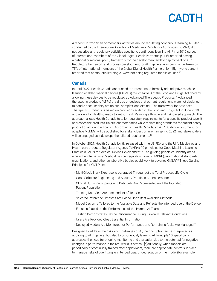<span id="page-8-0"></span>A recent Horizon Scan of members' activities around regulating continuous learning AI (2021) conducted by the International Coalition of Medicines Regulatory Authorities (ICMRA) did not describe any regulatory activities specific to continuous learning AI.[14](#page-13-14) In a 2019 survey of international members of the Global Digital Health Partnership, 44% reported having a national or regional policy framework for the development and/or deployment of Al.<sup>[15](#page-13-15)</sup> Regulatory framework and process development for AI in general was being undertaken by 75% of international members of the Global Digital Health Partnership.<sup>15</sup> Eighty-one percent reported that continuous learning AI were not being regulated for clinical use.<sup>[15](#page-13-15)</sup>

#### Canada

In April 2022, Health Canada announced the intentions to formally add adaptive machine learning-enabled medical devices (MLMDs) to *Schedule G* of the Food and Drugs Act, thereby allowing these devices to be regulated as Advanced Therapeutic Products.<sup>16</sup> Advanced therapeutic products (ATPs) are drugs or devices that current regulations were not designed to handle because they are unique, complex, and distinct. The framework for Advanced Therapeutic Products is based on provisions added in the Food and Drugs Act in June 2019 and allows for Health Canada to authorize ATPs using a flexible and risk-based approach. The approach allows Health Canada to tailor regulatory requirements for a specific product type. It addresses the products' unique characteristics while maintaining standards for patient safety, product quality, and efficacy.[17](#page-13-17) According to Health Canada, an ATP Guidance document for adaptive MLMDs will be published for stakeholder comment in spring 2022, and stakeholders will be engaged as it develops the tailored requirements.<sup>18</sup>

In October 2021, Health Canada jointly released with the US FDA and the UK's Medicines and Health care products Regulatory Agency (MHRA) 10 principles for Good Machine Learning Practice (GMLP) for Medical Device Development.<sup>19</sup> The guiding principles "identify areas where the International Medical Device Regulators Forum (IMDRF), international standards organizations, and other collaborative bodies could work to advance GMLP.<sup>"19</sup> These Guiding Principles for GMLP are:

- Multi-Disciplinary Expertise Is Leveraged Throughout the Total Product Life Cycle.
- Good Software Engineering and Security Practices Are Implemented.
- Clinical Study Participants and Data Sets Are Representative of the Intended Patient Population.
- Training Data Sets Are Independent of Test Sets.
- Selected Reference Datasets Are Based Upon Best Available Methods.
- Model Design Is Tailored to the Available Data and Reflects the Intended Use of the Device.
- Focus Is Placed on the Performance of the Human-AI Team.
- Testing Demonstrates Device Performance During Clinically Relevant Conditions.
- Users Are Provided Clear, Essential Information.
- Deployed Models Are Monitored for Performance and Re-training Risks Are Managed.[19](#page-13-19)

Designed to address the risks and challenges of AI, the principles can be interpreted as applying to AI in general but also to continuously learning AI. Principle 10 specifically addresses the need for ongoing monitoring and evaluation due to the potential for negative changes in performance in the real world. It states: "[a]dditionally, when models are periodically or continually trained after deployment, there are appropriate controls in place to manage risks of overfitting, unintended bias, or degradation of the model (for example,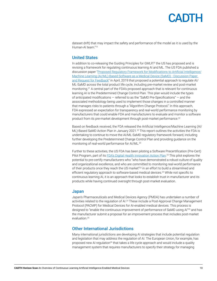<span id="page-9-0"></span>dataset drift) that may impact the safety and performance of the model as it is used by the Human-AI team<sup>"[19](#page-13-19)</sup>

#### United States

In addition to co-releasing the Guiding Principles for GMLP.<sup>20</sup> the US has proposed and is revising a framework for regulating continuous learning AI and ML. The US FDA published a discussion paper "[Proposed Regulatory Framework for Modifications to Artificial Intelligence/](https://www.fda.gov/media/122535/download) [Machine Learning \(AI/ML\)-Based Software as a Medical Device \(SaMD\) - Discussion Paper](https://www.fda.gov/media/122535/download)  [and Request for Feedback](https://www.fda.gov/media/122535/download)" in April, 2019 that proposed a potential approach to regulate AI/ ML-SaMD across the total product life cycle, including pre-market review and post-market monitoring.[21](#page-13-21) A central part of the FDA's proposed approach that is relevant for continuous learning AI is the Predetermined Change Control Plan. This plan would include the types of anticipated modifications — referred to as the "SaMD Pre-Specifications" — and the associated methodology being used to implement those changes in a controlled manner that manages risks to patients through a "Algorithm Change Protocol." In this approach, FDA expressed an expectation for transparency and real-world performance monitoring by manufacturers that could enable FDA and manufacturers to evaluate and monitor a software product from its pre-market development through post-market performance.<sup>22</sup>

Based on feedback received, the FDA released the Artificial Intelligence/Machine Learning (AI/ ML)-Based SaMD Action Plan in January 2021.<sup>[22](#page-13-22)</sup> This report outlines the activities the FDA is undertaking to continue to move the AI/ML-SaMD regulatory framework forward, including further developing the Predetermined Change Control Plan and providing guidance on the monitoring of real-world performance for AI/ML.<sup>[20](#page-13-20)</sup>

Further to these activities, the US FDA has been piloting a Software Precertification (Pre-Cert) Pilot Program, part of its **FDA's Digital Health Innovation Action Plan**.<sup>[23](#page-13-23)</sup> This pilot explores the potential to pre-certify manufacturers who "who have demonstrated a robust culture of quality and organizational excellence, and who are committed to monitoring real-world performance of their products once they reach the US market"<sup>23</sup> in an effort to build a streamlined and efficient regulatory approach to software-based medical devices.<sup>[23](#page-13-23)</sup> While not specific to continuous learning AI, it is an approach that looks to establish trust in manufacturer and its products while having continued oversight through post-market evaluation.

#### Japan

Japan's Pharmaceuticals and Medical Devices Agency (PMDA) has undertaken a number of activities related to the regulation of AI.<sup>24</sup> These include a Post-Approval Change Management Protocol (PACMP) for Medical Devices for AI-enabled medical devices. This process is designed to "enable the continuous improvement of performance of SaMD using Al"<sup>[25](#page-14-0)</sup> and has the manufacturer submit a proposal for an improvement process that includes post-market evaluation[.25](#page-14-0)

#### Other International Jurisdictions

Many international jurisdictions are developing AI strategies that include potential regulation and legislation that may address the regulation of AI. The European Union, for example, has proposed new AI regulation<sup>26</sup> that takes a life cycle approach and would include a quality management system that requires manufacturers to specify their strategy for managing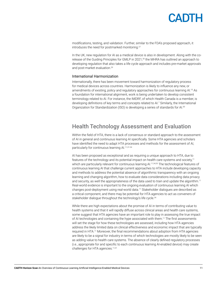

<span id="page-10-0"></span>modifications, testing, and validation. Further, similar to the FDA's proposed approach, it introduces the need for postmarked monitoring[.27](#page-14-2)

In the UK, new regulation for AI as a medical device is also in development. Along with the corelease of the Guiding Principles for GMLP in 2021,<sup>28</sup> the MHRA has outlined an approach to developing regulation that also takes a life cycle approach and includes pre-market approvals and post-market evaluation.<sup>[29](#page-14-4)</sup>

#### International Harmonization

Internationally, there has been movement toward harmonization of regulatory process for medical devices across countries. Harmonization is likely to influence any new, or amendments of existing, policy and regulatory approaches for continuous learning AI[.15](#page-13-15) As a foundation for international alignment, work is being undertaken to develop consistent terminology related to AI. For instance, the IMDRF, of which Health Canada is a member, is developing definitions of key terms and concepts related to AI.[7](#page-13-7) Similarly, the International Organization for Standardization (ISO) is developing a series of standards for Al.<sup>[30](#page-14-5)</sup>

### Health Technology Assessment and Evaluation

Within the field of HTA, there is a lack of consensus or standard approach to the assessment of AI in general and continuous learning AI specifically. Some HTA agencies and scholars have identified the need to adapt HTA processes and methods for the assessment of AI, particularly for continuous learning AI.[11](#page-13-11)[,31](#page-14-6)-[34](#page-14-7)

AI has been proposed as exceptional and as requiring a unique approach to HTA, due to features of the technology and its potential impact on health care systems and society, $11$ which are particularly relevant for continuous learning Al.<sup>11,[34,](#page-14-7)35</sup> The technological features of continuous learning AI that challenge current approaches to HTA include developing capacity and methods to address the potential absence of algorithmic transparency with an ongoing learning and changing algorithm, how to evaluate data considerations including data privacy and security, as well the appropriateness of the data used to train and update the algorithm.<sup>[11](#page-13-11)</sup> Real-world evidence is important to the ongoing evaluation of continuous learning AI which changes post-deployment using real-world data[.11](#page-13-11) Stakeholder dialogues are described as a critical component, and there may be potential for HTA agencies to act as conveners of stakeholder dialogue throughout the technology's life cycle.<sup>34</sup>

While there are high expectations about the promise of AI in terms of contributing value to health systems and that it will rapidly diffuse across clinical areas and health care systems, some suggest that HTA agencies have an important role to play in assessing the true impact of AI technologies and containing the hype associated with them.<sup>11</sup> The first assessments will set the stage for how these technologies are assessed, including how HTA agencies address the likely limited data on clinical effectiveness and economic impact that are typically required in HTA[.11](#page-13-11) Moreover, the final recommendations about adoption from HTA agencies are likely to be a signal for industry in terms of which technologies are mostly likely to be seen as adding value to health care systems. The absence of clearly defined regulatory processes (i.e., appropriate for and specific to each continuous learning AI-enabled device) may create challenges for HTA agencies.<sup>[11,](#page-13-11)[31](#page-14-6)</sup>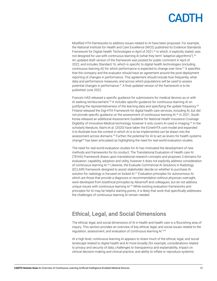<span id="page-11-0"></span>Modified HTA frameworks to address issues related to AI have been proposed. For example, the National Institute for Health and Care Excellence (NICE) published its Evidence Standards Framework for Digital Health Technologies in April of 2021,<sup>[36](#page-14-9)</sup> in which, it explicitly stated, was not designed for use with continuous learning AI (what they term "adaptive algorithms").<sup>[36](#page-14-9)</sup> An updated draft version of the framework was posted for public comment in April of 2022, and includes Standard 16, which is specific to digital health technologies (including continuous learning AI) for which performance is expected to change over time.<sup>37</sup> It specifies that the company and the evaluator should have an agreement around the post-deployment reporting of changes in performance. This agreement should include how frequently, what data and performance measures, and across which populations will be used to assess potential changes in performance.<sup>[37](#page-14-10)</sup> A final updated version of the framework is to be published June 2022.

France's HAS released a specific guidance for submissions for medical devices as or with AI seeking reimbursement.[38](#page-14-11) It includes specific guidance for continuous learning AI on justifying the representativeness of the learning data and specifying the update frequency.<sup>38</sup> Finland released the Digi-HTA Framework for digital health care services, including AI, but did not provide specific guidance on the assessment of continuous learning Al.<sup>33</sup> In 2021, South Korea released an additional Assessment Guideline for National Health Insurance Coverage Eligibility of Innovative Medical technology, however it only covers AI used in imaging.<sup>[39](#page-14-13)</sup> In the scholarly literature, Alami et al. (2020) have taken the EUnetHTA core model and expanded it to illustrate how the context in which AI is to be implemented can be drawn into the assessment across domains.<sup>34</sup> Further, the potential for AI to act as levers for health systems change<sup>[34](#page-14-7)</sup> has been articulated as highlighting the need for real-world evaluation studies.

The need for real-world evaluation studies for AI has motivated the development of new methods and frameworks for its conduct. The Translational Evaluation of Health care AI (TEHAI) Framework draws upon translational research concepts and proposes 3 domains for evaluation: capability, adoption and utility, however it does not explicitly address consideration of continuous learning AI.[40](#page-14-14) Likewise, the Evaluate Commercial AI Solutions in Radiology (ECLAIR) framework designed to assist stakeholder decide on whether to purchase AI solution for radiology is focused on locked AI.<sup>[41](#page-14-15)</sup> Evaluation principles for autonomous AI, which are those that provide a diagnosis or recommendation without physician oversight, were developed from bioethical principles by Abramoff and colleagues, but do not address unique issues with continuous learning AI.<sup>[42](#page-14-16)</sup> While existing evaluation frameworks and principles for AI may be helpful starting points, it is likely that work that specifically addresses the challenges of continuous learning AI remain needed.

### Ethical, Legal, and Social Dimensions

The ethical, legal, and social dimensions of AI in health and health care is a flourishing area of inquiry. This section provides an overview of key ethical, legal, and social issues related to the regulation, assessment, and evaluation of continuous learning AI[.5](#page-13-5)[,43](#page-14-17)

At a high level, continuous learning AI appears to share much of the ethical, legal, and social landscape related to digital health and AI more broadly (for example, considerations related to privacy and security of data, challenges to transparency and explainability, impact on clinical decision-making and clinical practice, and ability to inflate or reproduce systemic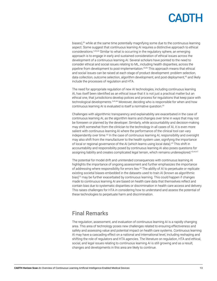<span id="page-12-0"></span>biases),<sup>43</sup> while at the same time potentially magnifying some due to the continuous learning aspect. Some suggest that continuous learning AI requires a distinctive approach to ethical considerations.[5,](#page-13-5)[35](#page-14-8)[,44](#page-14-18) Similar to what is occurring in the regulatory sphere, an emerging approach is to engage in early and sustained consideration of ethical issues across the development of a continuous learning AI. Several scholars have pointed to the need to consider ethical and social issues relating to ML, including health disparities, across the pipeline from development to post-implementation.<sup>44[,45](#page-14-19)</sup> This approach means that ethical and social issues can be raised at each stage of product development: problem selection, data collection, outcome selection, algorithm development, and post-deployment,<sup>45</sup> and likely include the processes of regulation and HTA.

The need for appropriate regulation of new AI technologies, including continuous learning AI, has itself been identified as an ethical issue that it is not just a practical matter but an ethical one, that jurisdictions develop polices and process for regulations that keep pace with technological developments.<sup>5[,43,](#page-14-17)46</sup> Moreover, deciding who is responsible for when and how continuous learning AI is evaluated is itself a normative question.<sup>[35](#page-14-8)</sup>

Challenges with algorithmic transparency and explainability are exacerbated in the case of continuous learning AI, as the algorithm learns and changes over time in ways that may not be foreseen or planned by the developer. Similarly, while accountability and decision-making may shift somewhat from the clinician to the technology in all cases of AI, it is even more salient with continuous learning AI where the performance of the clinical tool can vary independently over time.<sup>[43](#page-14-17)</sup> In the case of continuous learning AI, responsibility and oversight may also shift from the manufacturer to the health system user, signifying the importance of local or regional governance of the AI (which learns using local data)[.43](#page-14-17) This shift in accountability and responsibility posed by continuous learning AI also poses questions for assigning liability and creates complicated legal terrain, which remains underexplored.<sup>[43,](#page-14-17)[44](#page-14-18)[,47](#page-14-21)</sup>

The potential for model drift and unintended consequences with continuous learning AI highlights the importance of ongoing assessment and further emphasizes the importance of addressing where responsibility for errors lies.[45](#page-14-19) The ability of AI to perpetuate or replicate existing societal biases embedded in the datasets used to train AI (known as algorithmic bias)<sup>10</sup> may be further exacerbated by continuous learning. This could happen if changes made to continuous learning AI are based on health care data that themselves reflect and contain bias due to systematic disparities or discrimination in health care access and delivery. This raises challenges for HTA in considering how to understand and assess the potential of these technologies to perpetuate harm and discrimination.

### Final Remarks

The regulation, assessment, and evaluation of continuous learning AI is a rapidly changing area. This area of technology poses new challenges related to ensuring effectiveness and safety and assessing value and potential impact on health care systems. Continuous learning AI may have a cascading effect on a national and international level, including reshaping and shifting the role of regulators and HTA agencies. The literature on regulation, HTA and ethical, social, and legal issues relating to continuous learning AI is still growing and as a result, changes and developments in this area are likely to continue.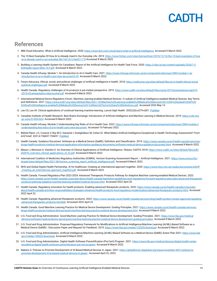### <span id="page-13-0"></span>References

- <span id="page-13-1"></span>1. IBM Cloud Education. What is Artificial Intelligence. 2020: https://www.ibm.com/cloud/learn/what[-is-artificial-intelligence.](https://www.ibm.com/cloud/learn/what-is-artificial-intelligence) Accessed 9 March 2022.
- <span id="page-13-2"></span>2. The 10 Best Examples Of How AI Is Already Used In Our Everyday Life. 2019: https://www[.forbes.com/sites/bernardmarr/2019/12/16/](https://www.forbes.com/sites/bernardmarr/2019/12/16/the-10-best-examples-of-how-ai-is-already-used-in-our-everyday-life/?sh=2c7c4ad21171)the-10-best-examples-of-how -ai-is[-already-used-in-our-everyday-life/](https://www.forbes.com/sites/bernardmarr/2019/12/16/the-10-best-examples-of-how-ai-is-already-used-in-our-everyday-life/?sh=2c7c4ad21171)?sh=2c7c4ad21171} Accessed 8 March 2022.
- <span id="page-13-3"></span>3. Building a Learning Health System for Canadians: Report of the Artificial Intelligence for Health Task Force. 2020: https://cifar.ca/wp[-content/uploads/2020/](https://cifar.ca/wp-content/uploads/2020/11/AI4Health-report-ENG-10-F.pdf)11/ [AI4Health-report-ENG-10-F.pdf](https://cifar.ca/wp-content/uploads/2020/11/AI4Health-report-ENG-10-F.pdf). Accessed 8 March 2022.
- <span id="page-13-4"></span>4. Canada Health Infoway. Module 1: An Introduction to AI in Health Care. 2021: https://www[.infoway-inforoute.ca/en/component/edocman/3983-module-1-an](https://www.infoway-inforoute.ca/en/component/edocman/3983-module-1-an-introduction-to-ai-in-health-care/view-document%7D) [-introduction-to-ai-in-health-care/](https://www.infoway-inforoute.ca/en/component/edocman/3983-module-1-an-introduction-to-ai-in-health-care/view-document%7D)view-document%7D. Accessed 8 March 2022.
- <span id="page-13-5"></span>5. Future Advocacy. Ethical, social, and political challenges of artificial intelligence in health. 2018: [https://wellcome.org/sites/default/files/](https://wellcome.org/sites/default/files/ai-in-health-ethical-social-political-challenges.pdf)ai-in-health-ethical-social [-political-challenges.pdf](https://wellcome.org/sites/default/files/ai-in-health-ethical-social-political-challenges.pdf). Accessed 8 March 2022.
- <span id="page-13-6"></span>6. Health Canada. Regulatory challenges of AI products A pre-market perspective. 2019: https://www[.cadth.ca/sites/default/files/symp-2019/presentations/april15](https://www.cadth.ca/sites/default/files/symp-2019/presentations/april15-2019/A3-presentation-tdumouchel.pdf) [-2019/A3-presentation-tdumouchel.pdf](https://www.cadth.ca/sites/default/files/symp-2019/presentations/april15-2019/A3-presentation-tdumouchel.pdf). Accessed 8 March 2022.
- <span id="page-13-7"></span>7. International Medical Device Regulators Forum. Machine Learning-enabled Medical Devices—A subset of Artificial Intelligence-enabled Medical Devices: Key Terms and Definitions. 2021: https://www[.imdrf.org/sites/default/files/2021-10/Machine%20Learning-enabled%20Medical%20Devices%20-%20A%20subset%20of%20](https://www.imdrf.org/sites/default/files/2021-10/Machine%20Learning-enabled%20Medical%20Devices%20-%20A%20subset%20of%20Artificial%20Intelligence-enabled%20Medical%20Devices%20-%20Key%20Terms%20and%20Definitions.pdf) Artificial%20Intelligence-enabled%20Medical%[20Devices%20-%20Key%20Terms%20and%20Definitions.pdf.](https://www.imdrf.org/sites/default/files/2021-10/Machine%20Learning-enabled%20Medical%20Devices%20-%20A%20subset%20of%20Artificial%20Intelligence-enabled%20Medical%20Devices%20-%20Key%20Terms%20and%20Definitions.pdf) Accessed 2022 May 13.
- <span id="page-13-8"></span>8. Lee CS, Lee AY. Clinical applications of continual learning machine learning. *Lancet Digit Health.* 2020;2(6):e279-e281. [PubMed](https://pubmed.ncbi.nlm.nih.gov/33328120)
- <span id="page-13-9"></span>9. Canadian Institute of Health Research. Best Brains Exchange: Introduction of Artificial Intelligence and Machine Learning in Medical Devices. 2019: [https://cihr-irsc](https://cihr-irsc.gc.ca/e/51459.html) [.gc.ca/e/51459.html.](https://cihr-irsc.gc.ca/e/51459.html) Accessed 8 March 2022.
- <span id="page-13-10"></span>10. Canada Health Infoway. Module 2 Understanding Key Risks of AI in Health Care. 2022: https://www[.infoway-inforoute.ca/en/component/edocman/3984-module-2](https://www.infoway-inforoute.ca/en/component/edocman/3984-module-2-understanding-key-risks-of-ai-in-health-care/view-document) [-understanding-key-risks-of-ai-in-health-care/](https://www.infoway-inforoute.ca/en/component/edocman/3984-module-2-understanding-key-risks-of-ai-in-health-care/view-document)view-document. Accessed 10 February 2022.
- <span id="page-13-11"></span>11. Bélisle-Pipon J-C, Couture V, Roy M-C, Ganache I, Goetghebeur M, Cohen IG. What Makes Artificial Intelligence Exceptional in Health Technology Assessment? *Front Artif Intell.* 2021;4:736697-736697. [PubMed](https://pubmed.ncbi.nlm.nih.gov/34796318)
- <span id="page-13-12"></span>Health Canada. Guidance Document: Software as a Medical Device (SaMD): Definition and Classification. 2019: https://www[.canada.ca/en/health-canada/services/](https://www.canada.ca/en/health-canada/services/drugs-health-products/medical-devices/application-information/guidance-documents/software-medical-device-guidance-document.html) [drugs-health-products/medical-devices/application-information/guidance-documents/](https://www.canada.ca/en/health-canada/services/drugs-health-products/medical-devices/application-information/guidance-documents/software-medical-device-guidance-document.html)software-medical-device-guidance-document.html. Accessed 8 March 2022.
- <span id="page-13-13"></span>13. Mason J, Morrison A, Visintini S. An Overview of Clinical Applications of Artificial Intelligence. Ottawa: CADTH; 2018: https://www[.cadth.ca/sites/default/files/pdf/](https://www.cadth.ca/sites/default/files/pdf/eh0070_overview_clinical_applications_of_AI.pdf) eh0070\_overview[\\_clinical\\_applications](https://www.cadth.ca/sites/default/files/pdf/eh0070_overview_clinical_applications_of_AI.pdf)\_of\_AI.pdf. Accessed 8 March 2022.
- <span id="page-13-14"></span>14. International Coalition of Medicines Regulatory Authorities (ICMRA). Horizon Scanning Assessment Report - Artificial Intelligence. 2021: https://www[.icmra.info/](https://www.icmra.info/drupal/sites/default/files/2021-08/horizon_scanning_report_artificial_intelligence.pdf) [drupal/sites/default/files/2021-08/horizon\\_scanning](https://www.icmra.info/drupal/sites/default/files/2021-08/horizon_scanning_report_artificial_intelligence.pdf)\_report\_artificial\_intelligence.pdf. Accessed 8 March 2022.
- <span id="page-13-15"></span>15. NHS and Global Digital Health Partnership. AI for healthcare: Creating an international approach together. 2020: https://www.nhsx.nhs[.uk/media/documents/GDHP](https://www.nhsx.nhs.uk/media/documents/GDHP_Creating_an_international_approach_together.pdf) \_Creating\_an[\\_international\\_approach](https://www.nhsx.nhs.uk/media/documents/GDHP_Creating_an_international_approach_together.pdf)\_together.pdf. Accessed 8 March 2022.
- <span id="page-13-16"></span>16. Health Canada. Forward Regulatory Plan 2022-2024: Advanced Therapeutic Products Pathway for Adaptive Machine Learning-enabled Medical Devices. 2022: https://www[.canada.ca/en/health-canada/corporate/about-health-canada/legislation-guidelines/acts-regulations/forward-regulatory-plan/plan/advanced-therapeutic](https://www.canada.ca/en/health-canada/corporate/about-health-canada/legislation-guidelines/acts-regulations/forward-regulatory-plan/plan/advanced-therapeutic-products-pathway-adaptive-machine-learning-enabled-medical-devices.html) [-products-pathway-adaptive-machine-learning-enabled-medical-devices.html](https://www.canada.ca/en/health-canada/corporate/about-health-canada/legislation-guidelines/acts-regulations/forward-regulatory-plan/plan/advanced-therapeutic-products-pathway-adaptive-machine-learning-enabled-medical-devices.html). Accessed 2022 April 26.
- <span id="page-13-17"></span>17. Health Canada. Regulatory innovation for health products: Enabling advanced therapeutic products. 2022: https://www[.canada.ca/en/health-canada/corporate/](https://www.canada.ca/en/health-canada/corporate/about-health-canada/activities-responsibilities/strategies-initiatives/health-products-food-regulatory-modernization/advanced-therapeutic-products.html) about-health-canada/activities-responsibilities/strategies[-initiatives/health-products-food-regulatory-modernization/advanced-therapeutic-products.html](https://www.canada.ca/en/health-canada/corporate/about-health-canada/activities-responsibilities/strategies-initiatives/health-products-food-regulatory-modernization/advanced-therapeutic-products.html). Accessed 2022 April 22.
- <span id="page-13-18"></span>18. Health Canada. Regulating advanced therapeutic products. 2022: https://www[.canada.ca/en/health-canada/services/drug-health-product-review-approval/regulating](https://www.canada.ca/en/health-canada/services/drug-health-product-review-approval/regulating-advanced-therapeutic-products.html#a8) [-advanced-therapeutic-products.html#a8](https://www.canada.ca/en/health-canada/services/drug-health-product-review-approval/regulating-advanced-therapeutic-products.html#a8). Accessed 2022 April 22.
- <span id="page-13-19"></span>19. Health Canada. Good Machine Learning Practice for Medical Device Development: Guiding Principles. 2021: https://www[.canada.ca/en/health-canada/services/](https://www.canada.ca/en/health-canada/services/drugs-health-products/medical-devices/good-machine-learning-practice-medical-device-development.html) [drugs-health-products/medical-devices/good-machine-learning-practice-medical-device-development.html](https://www.canada.ca/en/health-canada/services/drugs-health-products/medical-devices/good-machine-learning-practice-medical-device-development.html). Accessed 8 March 2022.
- <span id="page-13-20"></span>20. U.S. Food and Drug Administration. Good Machine Learning Practice for Medical Device Development: Guiding Principles. 2021: https://www[.fda.gov/medical](https://www.fda.gov/medical-devices/software-medical-device-samd/good-machine-learning-practice-medical-device-development-guiding-principles) -devices/software[-medical-device-samd/good-machine-learning-practice-medical-device-development-guiding-principles.](https://www.fda.gov/medical-devices/software-medical-device-samd/good-machine-learning-practice-medical-device-development-guiding-principles) Accessed 8 March 2022.
- <span id="page-13-21"></span>21. U.S. Food and Drug Administration. Proposed Regulatory Framework for Modifications to Artificial Intelligence/Machine Learning (AI/ML)-Based Software as a Medical Device (SaMD) - Discussion Paper and Request for Feedback. 2019: https://www[.fda.gov/media/122535/download.](https://www.fda.gov/media/122535/download) Accessed 8 March 2022.
- <span id="page-13-22"></span>22. U.S. Food and Drug Administration. Artificial Intelligence/Machine Learning (AI/ML)-Based Software as a Medical Device (SaMD) Action Plan 2021: [https://](https://www.fda.gov/media/145022/download)www.fda [.gov/media/145022/download](https://www.fda.gov/media/145022/download). Accessed 8 March 2022.
- <span id="page-13-23"></span>23. U.S. Food and Drug Administration. Digital Health Software Precertification (Pre-Cert) Program. 2021: https://www[.fda.gov/medical-devices/digital-health-center](https://www.fda.gov/medical-devices/digital-health-center-excellence/digital-health-software-precertification-pre-cert-program) [-excellence/digital-health-software-precertification-pre-cert-program](https://www.fda.gov/medical-devices/digital-health-center-excellence/digital-health-software-precertification-pre-cert-program). Accessed 8 March 2022.
- <span id="page-13-24"></span>24. Nakano S. Policies to Promote Development of AI-Based Medical Devices in Japan. 2021: [https://globalforum.diaglobal.org/issue/november-2021/policies-to](https://globalforum.diaglobal.org/issue/november-2021/policies-to-promote-development-of-ai-based-medical-devices-in-japan/) [-promote-development-of-ai-based-medical-devices-in-japan/.](https://globalforum.diaglobal.org/issue/november-2021/policies-to-promote-development-of-ai-based-medical-devices-in-japan/) Accessed April 22, 2022.